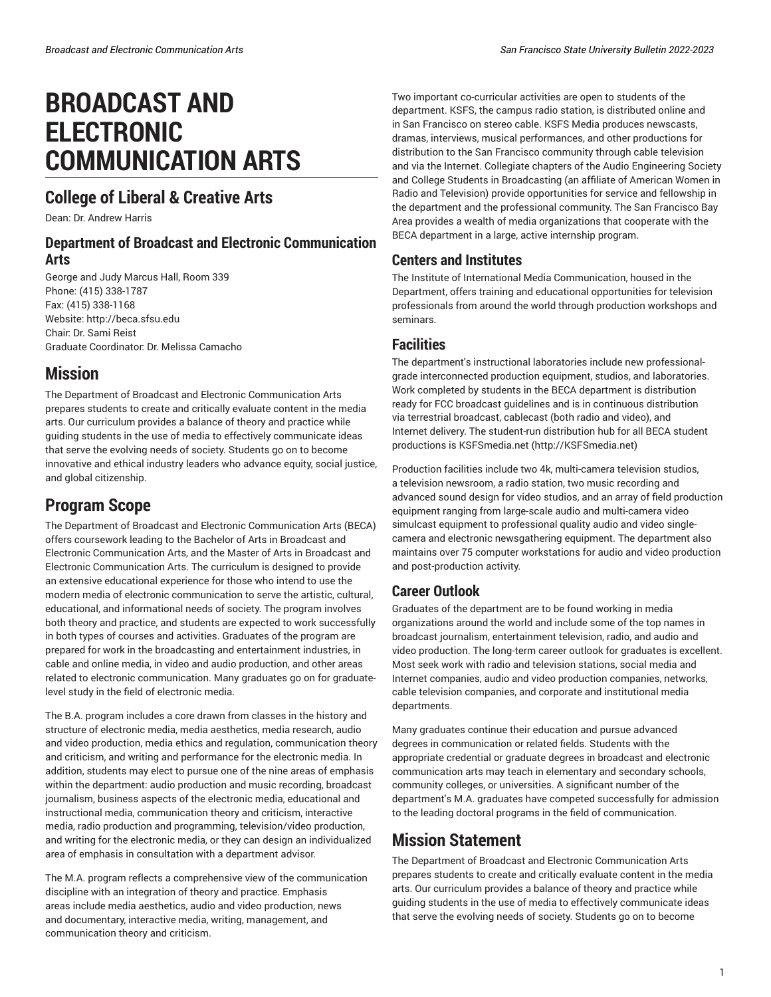# **BROADCAST AND ELECTRONIC COMMUNICATION ARTS**

# **College of Liberal & Creative Arts**

Dean: Dr. Andrew Harris

### **Department of Broadcast and Electronic Communication Arts**

George and Judy Marcus Hall, Room 339 Phone: (415) 338-1787 Fax: (415) 338-1168 Website: <http://beca.sfsu.edu> Chair: Dr. Sami Reist Graduate Coordinator: Dr. Melissa Camacho

# **Mission**

The Department of Broadcast and Electronic Communication Arts prepares students to create and critically evaluate content in the media arts. Our curriculum provides a balance of theory and practice while guiding students in the use of media to effectively communicate ideas that serve the evolving needs of society. Students go on to become innovative and ethical industry leaders who advance equity, social justice, and global citizenship.

# **Program Scope**

The Department of Broadcast and Electronic Communication Arts (BECA) offers coursework leading to the Bachelor of Arts in Broadcast and Electronic Communication Arts, and the Master of Arts in Broadcast and Electronic Communication Arts. The curriculum is designed to provide an extensive educational experience for those who intend to use the modern media of electronic communication to serve the artistic, cultural, educational, and informational needs of society. The program involves both theory and practice, and students are expected to work successfully in both types of courses and activities. Graduates of the program are prepared for work in the broadcasting and entertainment industries, in cable and online media, in video and audio production, and other areas related to electronic communication. Many graduates go on for graduatelevel study in the field of electronic media.

The B.A. program includes a core drawn from classes in the history and structure of electronic media, media aesthetics, media research, audio and video production, media ethics and regulation, communication theory and criticism, and writing and performance for the electronic media. In addition, students may elect to pursue one of the nine areas of emphasis within the department: audio production and music recording, broadcast journalism, business aspects of the electronic media, educational and instructional media, communication theory and criticism, interactive media, radio production and programming, television/video production, and writing for the electronic media, or they can design an individualized area of emphasis in consultation with a department advisor.

The M.A. program reflects a comprehensive view of the communication discipline with an integration of theory and practice. Emphasis areas include media aesthetics, audio and video production, news and documentary, interactive media, writing, management, and communication theory and criticism.

Two important co-curricular activities are open to students of the department. KSFS, the campus radio station, is distributed online and in San Francisco on stereo cable. KSFS Media produces newscasts, dramas, interviews, musical performances, and other productions for distribution to the San Francisco community through cable television and via the Internet. Collegiate chapters of the Audio Engineering Society and College Students in Broadcasting (an affiliate of American Women in Radio and Television) provide opportunities for service and fellowship in the department and the professional community. The San Francisco Bay Area provides a wealth of media organizations that cooperate with the BECA department in a large, active internship program.

### **Centers and Institutes**

The Institute of International Media Communication, housed in the Department, offers training and educational opportunities for television professionals from around the world through production workshops and seminars.

### **Facilities**

The department's instructional laboratories include new professionalgrade interconnected production equipment, studios, and laboratories. Work completed by students in the BECA department is distribution ready for FCC broadcast guidelines and is in continuous distribution via terrestrial broadcast, cablecast (both radio and video), and Internet delivery. The student-run distribution hub for all BECA student productions is [KSFSmedia.net](http://KSFSmedia.net) ([http://KSFSmedia.net\)](http://KSFSmedia.net)

Production facilities include two 4k, multi-camera television studios, a television newsroom, a radio station, two music recording and advanced sound design for video studios, and an array of field production equipment ranging from large-scale audio and multi-camera video simulcast equipment to professional quality audio and video singlecamera and electronic newsgathering equipment. The department also maintains over 75 computer workstations for audio and video production and post-production activity.

## **Career Outlook**

Graduates of the department are to be found working in media organizations around the world and include some of the top names in broadcast journalism, entertainment television, radio, and audio and video production. The long-term career outlook for graduates is excellent. Most seek work with radio and television stations, social media and Internet companies, audio and video production companies, networks, cable television companies, and corporate and institutional media departments.

Many graduates continue their education and pursue advanced degrees in communication or related fields. Students with the appropriate credential or graduate degrees in broadcast and electronic communication arts may teach in elementary and secondary schools, community colleges, or universities. A significant number of the department's M.A. graduates have competed successfully for admission to the leading doctoral programs in the field of communication.

# **Mission Statement**

The Department of Broadcast and Electronic Communication Arts prepares students to create and critically evaluate content in the media arts. Our curriculum provides a balance of theory and practice while guiding students in the use of media to effectively communicate ideas that serve the evolving needs of society. Students go on to become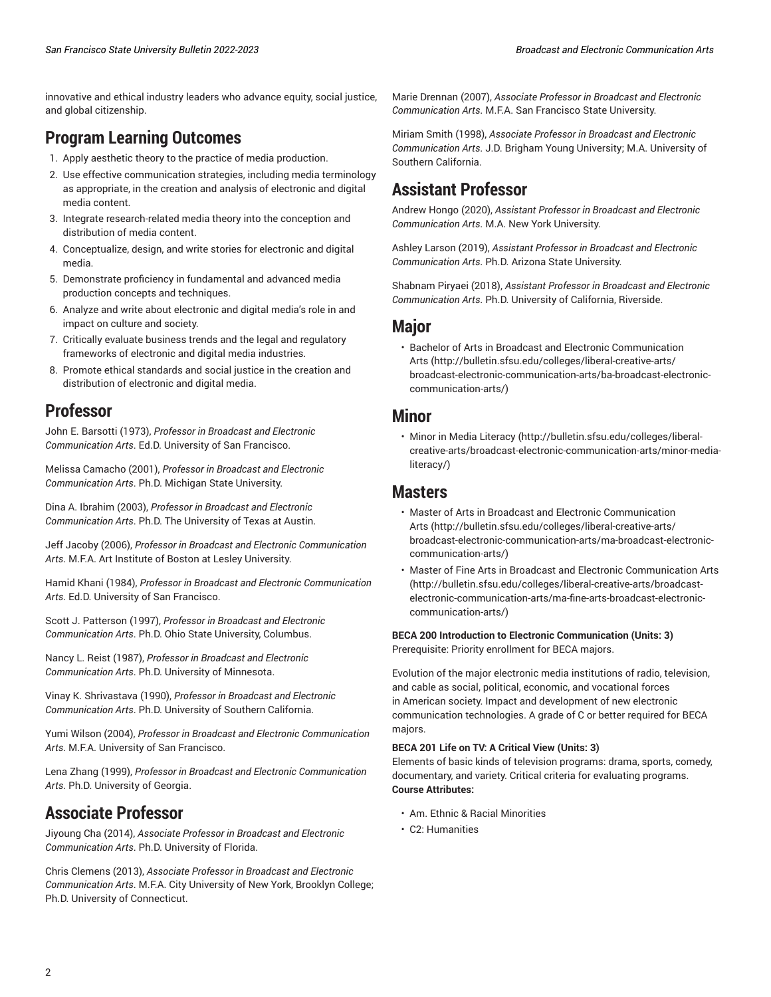innovative and ethical industry leaders who advance equity, social justice, and global citizenship.

# **Program Learning Outcomes**

- 1. Apply aesthetic theory to the practice of media production.
- 2. Use effective communication strategies, including media terminology as appropriate, in the creation and analysis of electronic and digital media content.
- 3. Integrate research-related media theory into the conception and distribution of media content.
- 4. Conceptualize, design, and write stories for electronic and digital media.
- 5. Demonstrate proficiency in fundamental and advanced media production concepts and techniques.
- 6. Analyze and write about electronic and digital media's role in and impact on culture and society.
- 7. Critically evaluate business trends and the legal and regulatory frameworks of electronic and digital media industries.
- 8. Promote ethical standards and social justice in the creation and distribution of electronic and digital media.

### **Professor**

John E. Barsotti (1973), *Professor in Broadcast and Electronic Communication Arts*. Ed.D. University of San Francisco.

Melissa Camacho (2001), *Professor in Broadcast and Electronic Communication Arts*. Ph.D. Michigan State University.

Dina A. Ibrahim (2003), *Professor in Broadcast and Electronic Communication Arts*. Ph.D. The University of Texas at Austin.

Jeff Jacoby (2006), *Professor in Broadcast and Electronic Communication Arts*. M.F.A. Art Institute of Boston at Lesley University.

Hamid Khani (1984), *Professor in Broadcast and Electronic Communication Arts*. Ed.D. University of San Francisco.

Scott J. Patterson (1997), *Professor in Broadcast and Electronic Communication Arts*. Ph.D. Ohio State University, Columbus.

Nancy L. Reist (1987), *Professor in Broadcast and Electronic Communication Arts*. Ph.D. University of Minnesota.

Vinay K. Shrivastava (1990), *Professor in Broadcast and Electronic Communication Arts*. Ph.D. University of Southern California.

Yumi Wilson (2004), *Professor in Broadcast and Electronic Communication Arts*. M.F.A. University of San Francisco.

Lena Zhang (1999), *Professor in Broadcast and Electronic Communication Arts*. Ph.D. University of Georgia.

## **Associate Professor**

Jiyoung Cha (2014), *Associate Professor in Broadcast and Electronic Communication Arts*. Ph.D. University of Florida.

Chris Clemens (2013), *Associate Professor in Broadcast and Electronic Communication Arts*. M.F.A. City University of New York, Brooklyn College; Ph.D. University of Connecticut.

Marie Drennan (2007), *Associate Professor in Broadcast and Electronic Communication Arts*. M.F.A. San Francisco State University.

Miriam Smith (1998), *Associate Professor in Broadcast and Electronic Communication Arts*. J.D. Brigham Young University; M.A. University of Southern California.

# **Assistant Professor**

Andrew Hongo (2020), *Assistant Professor in Broadcast and Electronic Communication Arts*. M.A. New York University.

Ashley Larson (2019), *Assistant Professor in Broadcast and Electronic Communication Arts*. Ph.D. Arizona State University.

Shabnam Piryaei (2018), *Assistant Professor in Broadcast and Electronic Communication Arts*. Ph.D. University of California, Riverside.

### **Major**

• Bachelor of Arts in Broadcast and Electronic [Communication](http://bulletin.sfsu.edu/colleges/liberal-creative-arts/broadcast-electronic-communication-arts/ba-broadcast-electronic-communication-arts/) [Arts](http://bulletin.sfsu.edu/colleges/liberal-creative-arts/broadcast-electronic-communication-arts/ba-broadcast-electronic-communication-arts/) ([http://bulletin.sfsu.edu/colleges/liberal-creative-arts/](http://bulletin.sfsu.edu/colleges/liberal-creative-arts/broadcast-electronic-communication-arts/ba-broadcast-electronic-communication-arts/) [broadcast-electronic-communication-arts/ba-broadcast-electronic](http://bulletin.sfsu.edu/colleges/liberal-creative-arts/broadcast-electronic-communication-arts/ba-broadcast-electronic-communication-arts/)[communication-arts/](http://bulletin.sfsu.edu/colleges/liberal-creative-arts/broadcast-electronic-communication-arts/ba-broadcast-electronic-communication-arts/))

### **Minor**

• [Minor in Media Literacy \(http://bulletin.sfsu.edu/colleges/liberal](http://bulletin.sfsu.edu/colleges/liberal-creative-arts/broadcast-electronic-communication-arts/minor-media-literacy/)[creative-arts/broadcast-electronic-communication-arts/minor-media](http://bulletin.sfsu.edu/colleges/liberal-creative-arts/broadcast-electronic-communication-arts/minor-media-literacy/)[literacy/](http://bulletin.sfsu.edu/colleges/liberal-creative-arts/broadcast-electronic-communication-arts/minor-media-literacy/))

### **Masters**

- Master of Arts in Broadcast and Electronic [Communication](http://bulletin.sfsu.edu/colleges/liberal-creative-arts/broadcast-electronic-communication-arts/ma-broadcast-electronic-communication-arts/) [Arts](http://bulletin.sfsu.edu/colleges/liberal-creative-arts/broadcast-electronic-communication-arts/ma-broadcast-electronic-communication-arts/) ([http://bulletin.sfsu.edu/colleges/liberal-creative-arts/](http://bulletin.sfsu.edu/colleges/liberal-creative-arts/broadcast-electronic-communication-arts/ma-broadcast-electronic-communication-arts/) [broadcast-electronic-communication-arts/ma-broadcast-electronic](http://bulletin.sfsu.edu/colleges/liberal-creative-arts/broadcast-electronic-communication-arts/ma-broadcast-electronic-communication-arts/)[communication-arts/](http://bulletin.sfsu.edu/colleges/liberal-creative-arts/broadcast-electronic-communication-arts/ma-broadcast-electronic-communication-arts/))
- Master of Fine Arts in Broadcast and Electronic [Communication](http://bulletin.sfsu.edu/colleges/liberal-creative-arts/broadcast-electronic-communication-arts/ma-fine-arts-broadcast-electronic-communication-arts/) Arts [\(http://bulletin.sfsu.edu/colleges/liberal-creative-arts/broadcast](http://bulletin.sfsu.edu/colleges/liberal-creative-arts/broadcast-electronic-communication-arts/ma-fine-arts-broadcast-electronic-communication-arts/)[electronic-communication-arts/ma-fine-arts-broadcast-electronic](http://bulletin.sfsu.edu/colleges/liberal-creative-arts/broadcast-electronic-communication-arts/ma-fine-arts-broadcast-electronic-communication-arts/)[communication-arts/](http://bulletin.sfsu.edu/colleges/liberal-creative-arts/broadcast-electronic-communication-arts/ma-fine-arts-broadcast-electronic-communication-arts/))

**BECA 200 Introduction to Electronic Communication (Units: 3)** Prerequisite: Priority enrollment for BECA majors.

Evolution of the major electronic media institutions of radio, television, and cable as social, political, economic, and vocational forces in American society. Impact and development of new electronic communication technologies. A grade of C or better required for BECA majors.

#### **BECA 201 Life on TV: A Critical View (Units: 3)**

Elements of basic kinds of television programs: drama, sports, comedy, documentary, and variety. Critical criteria for evaluating programs. **Course Attributes:**

- Am. Ethnic & Racial Minorities
- C2: Humanities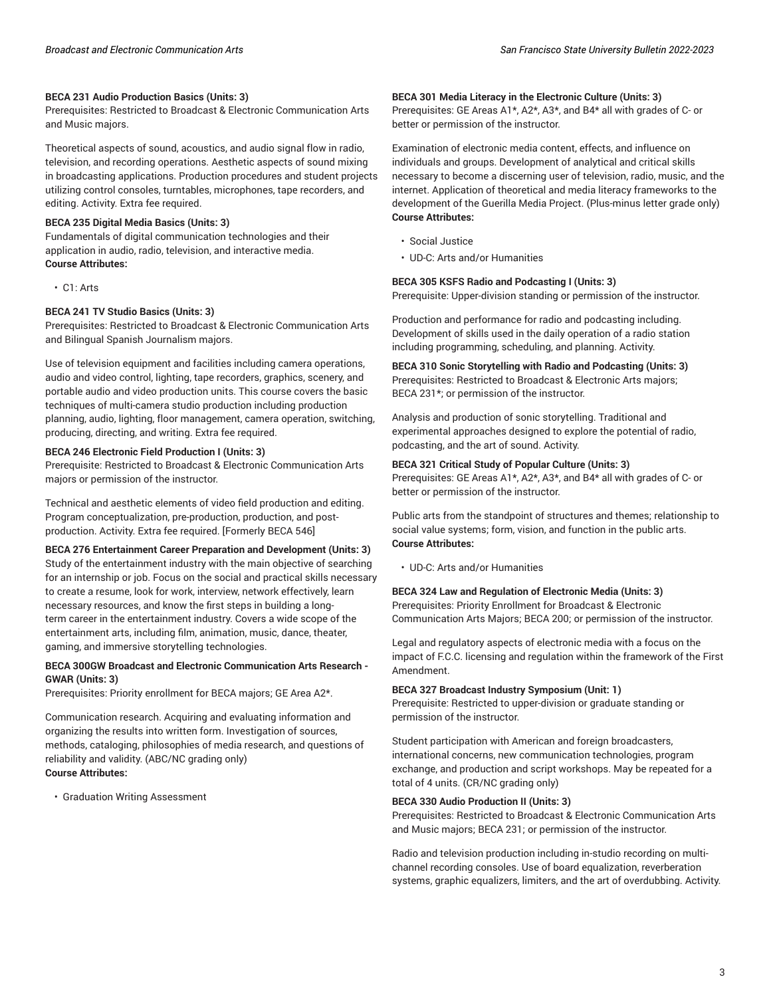#### **BECA 231 Audio Production Basics (Units: 3)**

Prerequisites: Restricted to Broadcast & Electronic Communication Arts and Music majors.

Theoretical aspects of sound, acoustics, and audio signal flow in radio, television, and recording operations. Aesthetic aspects of sound mixing in broadcasting applications. Production procedures and student projects utilizing control consoles, turntables, microphones, tape recorders, and editing. Activity. Extra fee required.

#### **BECA 235 Digital Media Basics (Units: 3)**

Fundamentals of digital communication technologies and their application in audio, radio, television, and interactive media. **Course Attributes:**

• C1: Arts

#### **BECA 241 TV Studio Basics (Units: 3)**

Prerequisites: Restricted to Broadcast & Electronic Communication Arts and Bilingual Spanish Journalism majors.

Use of television equipment and facilities including camera operations, audio and video control, lighting, tape recorders, graphics, scenery, and portable audio and video production units. This course covers the basic techniques of multi-camera studio production including production planning, audio, lighting, floor management, camera operation, switching, producing, directing, and writing. Extra fee required.

#### **BECA 246 Electronic Field Production I (Units: 3)**

Prerequisite: Restricted to Broadcast & Electronic Communication Arts majors or permission of the instructor.

Technical and aesthetic elements of video field production and editing. Program conceptualization, pre-production, production, and postproduction. Activity. Extra fee required. [Formerly BECA 546]

#### **BECA 276 Entertainment Career Preparation and Development (Units: 3)**

Study of the entertainment industry with the main objective of searching for an internship or job. Focus on the social and practical skills necessary to create a resume, look for work, interview, network effectively, learn necessary resources, and know the first steps in building a longterm career in the entertainment industry. Covers a wide scope of the entertainment arts, including film, animation, music, dance, theater, gaming, and immersive storytelling technologies.

#### **BECA 300GW Broadcast and Electronic Communication Arts Research - GWAR (Units: 3)**

Prerequisites: Priority enrollment for BECA majors; GE Area A2\*.

Communication research. Acquiring and evaluating information and organizing the results into written form. Investigation of sources, methods, cataloging, philosophies of media research, and questions of reliability and validity. (ABC/NC grading only) **Course Attributes:**

• Graduation Writing Assessment

#### **BECA 301 Media Literacy in the Electronic Culture (Units: 3)**

Prerequisites: GE Areas A1\*, A2\*, A3\*, and B4\* all with grades of C- or better or permission of the instructor.

Examination of electronic media content, effects, and influence on individuals and groups. Development of analytical and critical skills necessary to become a discerning user of television, radio, music, and the internet. Application of theoretical and media literacy frameworks to the development of the Guerilla Media Project. (Plus-minus letter grade only) **Course Attributes:**

- Social Justice
- UD-C: Arts and/or Humanities

#### **BECA 305 KSFS Radio and Podcasting I (Units: 3)**

Prerequisite: Upper-division standing or permission of the instructor.

Production and performance for radio and podcasting including. Development of skills used in the daily operation of a radio station including programming, scheduling, and planning. Activity.

**BECA 310 Sonic Storytelling with Radio and Podcasting (Units: 3)** Prerequisites: Restricted to Broadcast & Electronic Arts majors; BECA 231\*; or permission of the instructor.

Analysis and production of sonic storytelling. Traditional and experimental approaches designed to explore the potential of radio, podcasting, and the art of sound. Activity.

#### **BECA 321 Critical Study of Popular Culture (Units: 3)**

Prerequisites: GE Areas A1\*, A2\*, A3\*, and B4\* all with grades of C- or better or permission of the instructor.

Public arts from the standpoint of structures and themes; relationship to social value systems; form, vision, and function in the public arts. **Course Attributes:**

• UD-C: Arts and/or Humanities

#### **BECA 324 Law and Regulation of Electronic Media (Units: 3)**

Prerequisites: Priority Enrollment for Broadcast & Electronic Communication Arts Majors; BECA 200; or permission of the instructor.

Legal and regulatory aspects of electronic media with a focus on the impact of F.C.C. licensing and regulation within the framework of the First Amendment.

#### **BECA 327 Broadcast Industry Symposium (Unit: 1)**

Prerequisite: Restricted to upper-division or graduate standing or permission of the instructor.

Student participation with American and foreign broadcasters, international concerns, new communication technologies, program exchange, and production and script workshops. May be repeated for a total of 4 units. (CR/NC grading only)

#### **BECA 330 Audio Production II (Units: 3)**

Prerequisites: Restricted to Broadcast & Electronic Communication Arts and Music majors; BECA 231; or permission of the instructor.

Radio and television production including in-studio recording on multichannel recording consoles. Use of board equalization, reverberation systems, graphic equalizers, limiters, and the art of overdubbing. Activity.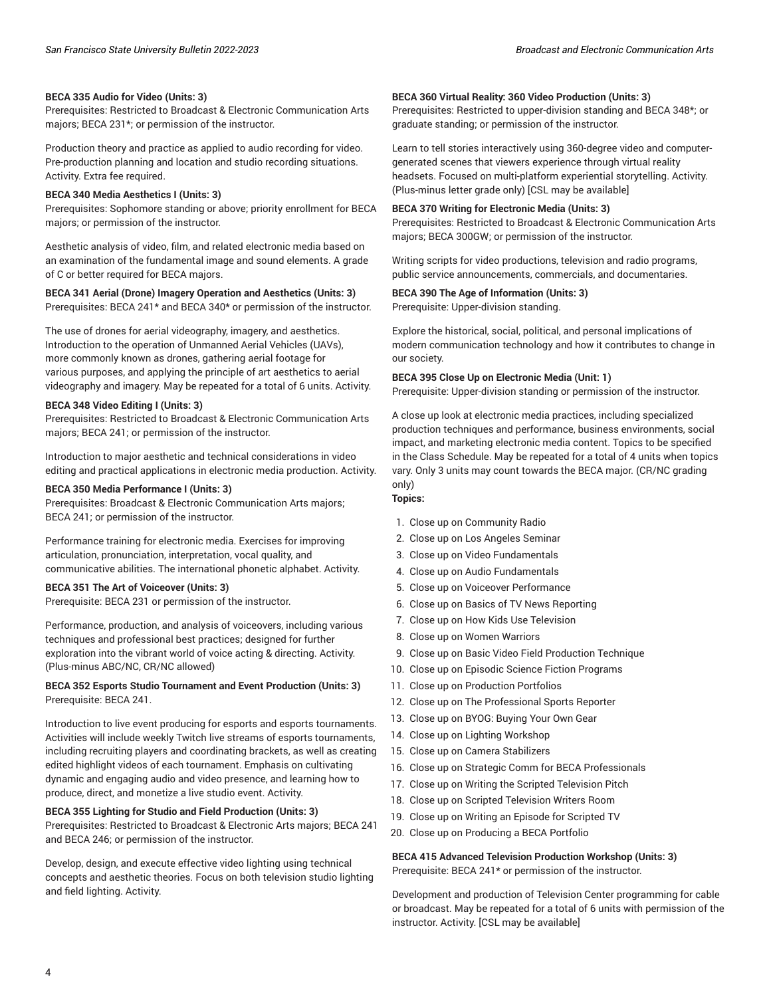#### **BECA 335 Audio for Video (Units: 3)**

Prerequisites: Restricted to Broadcast & Electronic Communication Arts majors; BECA 231\*; or permission of the instructor.

Production theory and practice as applied to audio recording for video. Pre-production planning and location and studio recording situations. Activity. Extra fee required.

#### **BECA 340 Media Aesthetics I (Units: 3)**

Prerequisites: Sophomore standing or above; priority enrollment for BECA majors; or permission of the instructor.

Aesthetic analysis of video, film, and related electronic media based on an examination of the fundamental image and sound elements. A grade of C or better required for BECA majors.

**BECA 341 Aerial (Drone) Imagery Operation and Aesthetics (Units: 3)**

Prerequisites: BECA 241\* and BECA 340\* or permission of the instructor.

The use of drones for aerial videography, imagery, and aesthetics. Introduction to the operation of Unmanned Aerial Vehicles (UAVs), more commonly known as drones, gathering aerial footage for various purposes, and applying the principle of art aesthetics to aerial videography and imagery. May be repeated for a total of 6 units. Activity.

#### **BECA 348 Video Editing I (Units: 3)**

Prerequisites: Restricted to Broadcast & Electronic Communication Arts majors; BECA 241; or permission of the instructor.

Introduction to major aesthetic and technical considerations in video editing and practical applications in electronic media production. Activity.

#### **BECA 350 Media Performance I (Units: 3)**

Prerequisites: Broadcast & Electronic Communication Arts majors; BECA 241; or permission of the instructor.

Performance training for electronic media. Exercises for improving articulation, pronunciation, interpretation, vocal quality, and communicative abilities. The international phonetic alphabet. Activity.

#### **BECA 351 The Art of Voiceover (Units: 3)**

Prerequisite: BECA 231 or permission of the instructor.

Performance, production, and analysis of voiceovers, including various techniques and professional best practices; designed for further exploration into the vibrant world of voice acting & directing. Activity. (Plus-minus ABC/NC, CR/NC allowed)

#### **BECA 352 Esports Studio Tournament and Event Production (Units: 3)** Prerequisite: BECA 241.

Introduction to live event producing for esports and esports tournaments. Activities will include weekly Twitch live streams of esports tournaments, including recruiting players and coordinating brackets, as well as creating edited highlight videos of each tournament. Emphasis on cultivating dynamic and engaging audio and video presence, and learning how to produce, direct, and monetize a live studio event. Activity.

#### **BECA 355 Lighting for Studio and Field Production (Units: 3)**

Prerequisites: Restricted to Broadcast & Electronic Arts majors; BECA 241 and BECA 246; or permission of the instructor.

Develop, design, and execute effective video lighting using technical concepts and aesthetic theories. Focus on both television studio lighting and field lighting. Activity.

#### **BECA 360 Virtual Reality: 360 Video Production (Units: 3)**

Prerequisites: Restricted to upper-division standing and BECA 348\*; or graduate standing; or permission of the instructor.

Learn to tell stories interactively using 360-degree video and computergenerated scenes that viewers experience through virtual reality headsets. Focused on multi-platform experiential storytelling. Activity. (Plus-minus letter grade only) [CSL may be available]

#### **BECA 370 Writing for Electronic Media (Units: 3)**

Prerequisites: Restricted to Broadcast & Electronic Communication Arts majors; BECA 300GW; or permission of the instructor.

Writing scripts for video productions, television and radio programs, public service announcements, commercials, and documentaries.

#### **BECA 390 The Age of Information (Units: 3)**

Prerequisite: Upper-division standing.

Explore the historical, social, political, and personal implications of modern communication technology and how it contributes to change in our society.

#### **BECA 395 Close Up on Electronic Media (Unit: 1)**

Prerequisite: Upper-division standing or permission of the instructor.

A close up look at electronic media practices, including specialized production techniques and performance, business environments, social impact, and marketing electronic media content. Topics to be specified in the Class Schedule. May be repeated for a total of 4 units when topics vary. Only 3 units may count towards the BECA major. (CR/NC grading only)

#### **Topics:**

- 1. Close up on Community Radio
- 2. Close up on Los Angeles Seminar
- 3. Close up on Video Fundamentals
- 4. Close up on Audio Fundamentals
- 5. Close up on Voiceover Performance
- 6. Close up on Basics of TV News Reporting
- 7. Close up on How Kids Use Television
- 8. Close up on Women Warriors
- 9. Close up on Basic Video Field Production Technique
- 10. Close up on Episodic Science Fiction Programs
- 11. Close up on Production Portfolios
- 12. Close up on The Professional Sports Reporter
- 13. Close up on BYOG: Buying Your Own Gear
- 14. Close up on Lighting Workshop
- 15. Close up on Camera Stabilizers
- 16. Close up on Strategic Comm for BECA Professionals
- 17. Close up on Writing the Scripted Television Pitch
- 18. Close up on Scripted Television Writers Room
- 19. Close up on Writing an Episode for Scripted TV
- 20. Close up on Producing a BECA Portfolio

**BECA 415 Advanced Television Production Workshop (Units: 3)** Prerequisite: BECA 241\* or permission of the instructor.

Development and production of Television Center programming for cable or broadcast. May be repeated for a total of 6 units with permission of the instructor. Activity. [CSL may be available]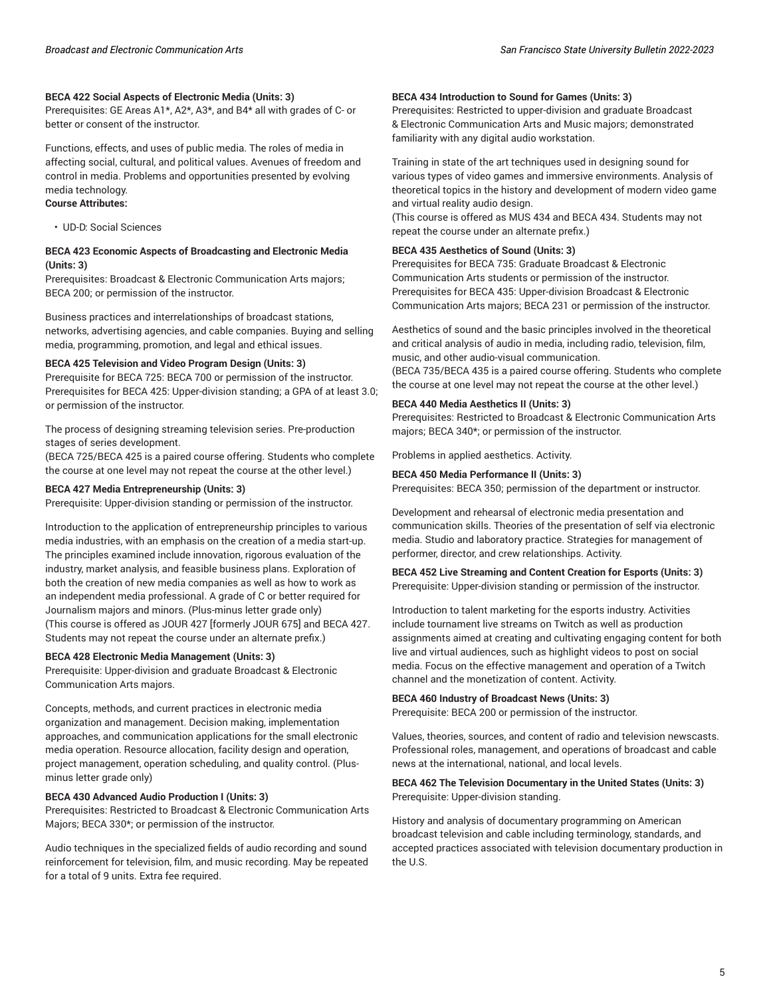#### **BECA 422 Social Aspects of Electronic Media (Units: 3)**

Prerequisites: GE Areas A1\*, A2\*, A3\*, and B4\* all with grades of C- or better or consent of the instructor.

Functions, effects, and uses of public media. The roles of media in affecting social, cultural, and political values. Avenues of freedom and control in media. Problems and opportunities presented by evolving media technology.

#### **Course Attributes:**

• UD-D: Social Sciences

#### **BECA 423 Economic Aspects of Broadcasting and Electronic Media (Units: 3)**

Prerequisites: Broadcast & Electronic Communication Arts majors; BECA 200; or permission of the instructor.

Business practices and interrelationships of broadcast stations, networks, advertising agencies, and cable companies. Buying and selling media, programming, promotion, and legal and ethical issues.

#### **BECA 425 Television and Video Program Design (Units: 3)**

Prerequisite for BECA 725: BECA 700 or permission of the instructor. Prerequisites for BECA 425: Upper-division standing; a GPA of at least 3.0; or permission of the instructor.

The process of designing streaming television series. Pre-production stages of series development.

(BECA 725/BECA 425 is a paired course offering. Students who complete the course at one level may not repeat the course at the other level.)

#### **BECA 427 Media Entrepreneurship (Units: 3)**

Prerequisite: Upper-division standing or permission of the instructor.

Introduction to the application of entrepreneurship principles to various media industries, with an emphasis on the creation of a media start-up. The principles examined include innovation, rigorous evaluation of the industry, market analysis, and feasible business plans. Exploration of both the creation of new media companies as well as how to work as an independent media professional. A grade of C or better required for Journalism majors and minors. (Plus-minus letter grade only) (This course is offered as JOUR 427 [formerly JOUR 675] and BECA 427. Students may not repeat the course under an alternate prefix.)

#### **BECA 428 Electronic Media Management (Units: 3)**

Prerequisite: Upper-division and graduate Broadcast & Electronic Communication Arts majors.

Concepts, methods, and current practices in electronic media organization and management. Decision making, implementation approaches, and communication applications for the small electronic media operation. Resource allocation, facility design and operation, project management, operation scheduling, and quality control. (Plusminus letter grade only)

#### **BECA 430 Advanced Audio Production I (Units: 3)**

Prerequisites: Restricted to Broadcast & Electronic Communication Arts Majors; BECA 330\*; or permission of the instructor.

Audio techniques in the specialized fields of audio recording and sound reinforcement for television, film, and music recording. May be repeated for a total of 9 units. Extra fee required.

#### **BECA 434 Introduction to Sound for Games (Units: 3)**

Prerequisites: Restricted to upper-division and graduate Broadcast & Electronic Communication Arts and Music majors; demonstrated familiarity with any digital audio workstation.

Training in state of the art techniques used in designing sound for various types of video games and immersive environments. Analysis of theoretical topics in the history and development of modern video game and virtual reality audio design.

(This course is offered as MUS 434 and BECA 434. Students may not repeat the course under an alternate prefix.)

#### **BECA 435 Aesthetics of Sound (Units: 3)**

Prerequisites for BECA 735: Graduate Broadcast & Electronic Communication Arts students or permission of the instructor. Prerequisites for BECA 435: Upper-division Broadcast & Electronic Communication Arts majors; BECA 231 or permission of the instructor.

Aesthetics of sound and the basic principles involved in the theoretical and critical analysis of audio in media, including radio, television, film, music, and other audio-visual communication.

(BECA 735/BECA 435 is a paired course offering. Students who complete the course at one level may not repeat the course at the other level.)

#### **BECA 440 Media Aesthetics II (Units: 3)**

Prerequisites: Restricted to Broadcast & Electronic Communication Arts majors; BECA 340\*; or permission of the instructor.

Problems in applied aesthetics. Activity.

#### **BECA 450 Media Performance II (Units: 3)**

Prerequisites: BECA 350; permission of the department or instructor.

Development and rehearsal of electronic media presentation and communication skills. Theories of the presentation of self via electronic media. Studio and laboratory practice. Strategies for management of performer, director, and crew relationships. Activity.

#### **BECA 452 Live Streaming and Content Creation for Esports (Units: 3)** Prerequisite: Upper-division standing or permission of the instructor.

Introduction to talent marketing for the esports industry. Activities include tournament live streams on Twitch as well as production assignments aimed at creating and cultivating engaging content for both live and virtual audiences, such as highlight videos to post on social media. Focus on the effective management and operation of a Twitch channel and the monetization of content. Activity.

#### **BECA 460 Industry of Broadcast News (Units: 3)**

Prerequisite: BECA 200 or permission of the instructor.

Values, theories, sources, and content of radio and television newscasts. Professional roles, management, and operations of broadcast and cable news at the international, national, and local levels.

#### **BECA 462 The Television Documentary in the United States (Units: 3)** Prerequisite: Upper-division standing.

History and analysis of documentary programming on American broadcast television and cable including terminology, standards, and accepted practices associated with television documentary production in the U.S.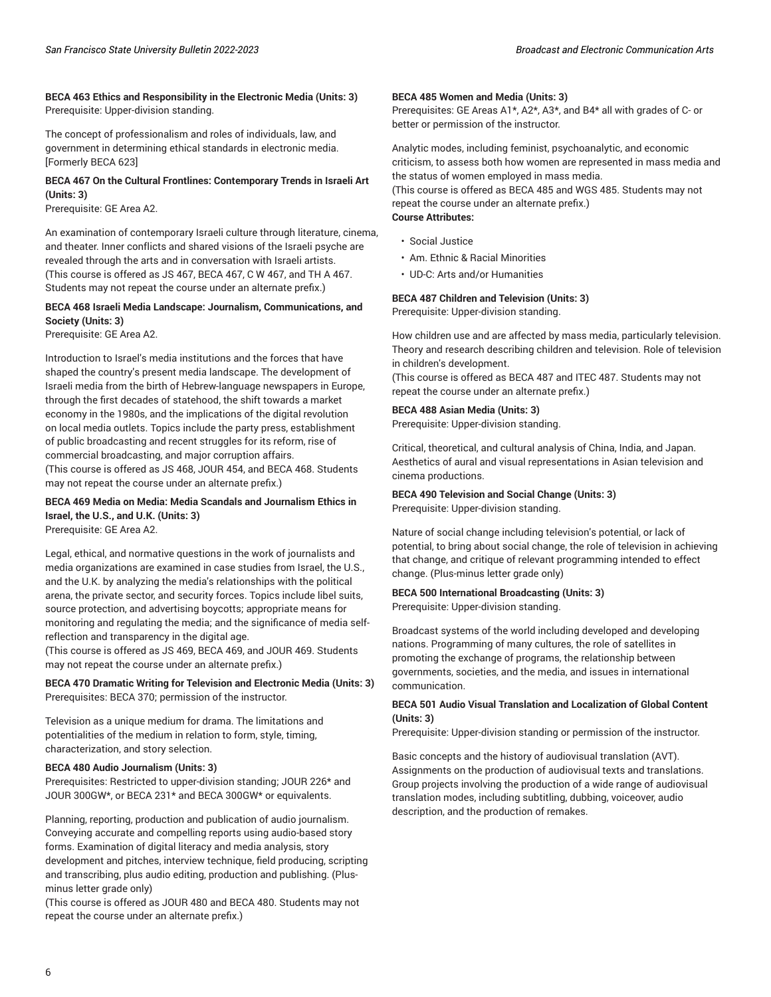#### **BECA 463 Ethics and Responsibility in the Electronic Media (Units: 3)** Prerequisite: Upper-division standing.

The concept of professionalism and roles of individuals, law, and government in determining ethical standards in electronic media. [Formerly BECA 623]

#### **BECA 467 On the Cultural Frontlines: Contemporary Trends in Israeli Art (Units: 3)**

Prerequisite: GE Area A2.

An examination of contemporary Israeli culture through literature, cinema, and theater. Inner conflicts and shared visions of the Israeli psyche are revealed through the arts and in conversation with Israeli artists. (This course is offered as JS 467, BECA 467, C W 467, and TH A 467. Students may not repeat the course under an alternate prefix.)

#### **BECA 468 Israeli Media Landscape: Journalism, Communications, and Society (Units: 3)**

Prerequisite: GE Area A2.

Introduction to Israel's media institutions and the forces that have shaped the country's present media landscape. The development of Israeli media from the birth of Hebrew-language newspapers in Europe, through the first decades of statehood, the shift towards a market economy in the 1980s, and the implications of the digital revolution on local media outlets. Topics include the party press, establishment of public broadcasting and recent struggles for its reform, rise of commercial broadcasting, and major corruption affairs. (This course is offered as JS 468, JOUR 454, and BECA 468. Students may not repeat the course under an alternate prefix.)

### **BECA 469 Media on Media: Media Scandals and Journalism Ethics in Israel, the U.S., and U.K. (Units: 3)**

Prerequisite: GE Area A2.

Legal, ethical, and normative questions in the work of journalists and media organizations are examined in case studies from Israel, the U.S., and the U.K. by analyzing the media's relationships with the political arena, the private sector, and security forces. Topics include libel suits, source protection, and advertising boycotts; appropriate means for monitoring and regulating the media; and the significance of media selfreflection and transparency in the digital age.

(This course is offered as JS 469, BECA 469, and JOUR 469. Students may not repeat the course under an alternate prefix.)

**BECA 470 Dramatic Writing for Television and Electronic Media (Units: 3)** Prerequisites: BECA 370; permission of the instructor.

Television as a unique medium for drama. The limitations and potentialities of the medium in relation to form, style, timing, characterization, and story selection.

#### **BECA 480 Audio Journalism (Units: 3)**

Prerequisites: Restricted to upper-division standing; JOUR 226\* and JOUR 300GW\*, or BECA 231\* and BECA 300GW\* or equivalents.

Planning, reporting, production and publication of audio journalism. Conveying accurate and compelling reports using audio-based story forms. Examination of digital literacy and media analysis, story development and pitches, interview technique, field producing, scripting and transcribing, plus audio editing, production and publishing. (Plusminus letter grade only)

(This course is offered as JOUR 480 and BECA 480. Students may not repeat the course under an alternate prefix.)

#### **BECA 485 Women and Media (Units: 3)**

Prerequisites: GE Areas A1\*, A2\*, A3\*, and B4\* all with grades of C- or better or permission of the instructor.

Analytic modes, including feminist, psychoanalytic, and economic criticism, to assess both how women are represented in mass media and the status of women employed in mass media.

(This course is offered as BECA 485 and WGS 485. Students may not repeat the course under an alternate prefix.) **Course Attributes:**

- Social Justice
- Am. Ethnic & Racial Minorities
- UD-C: Arts and/or Humanities

### **BECA 487 Children and Television (Units: 3)**

Prerequisite: Upper-division standing.

How children use and are affected by mass media, particularly television. Theory and research describing children and television. Role of television in children's development.

(This course is offered as BECA 487 and ITEC 487. Students may not repeat the course under an alternate prefix.)

#### **BECA 488 Asian Media (Units: 3)**

Prerequisite: Upper-division standing.

Critical, theoretical, and cultural analysis of China, India, and Japan. Aesthetics of aural and visual representations in Asian television and cinema productions.

**BECA 490 Television and Social Change (Units: 3)** Prerequisite: Upper-division standing.

Nature of social change including television's potential, or lack of potential, to bring about social change, the role of television in achieving that change, and critique of relevant programming intended to effect change. (Plus-minus letter grade only)

#### **BECA 500 International Broadcasting (Units: 3)** Prerequisite: Upper-division standing.

Broadcast systems of the world including developed and developing nations. Programming of many cultures, the role of satellites in promoting the exchange of programs, the relationship between governments, societies, and the media, and issues in international communication.

#### **BECA 501 Audio Visual Translation and Localization of Global Content (Units: 3)**

Prerequisite: Upper-division standing or permission of the instructor.

Basic concepts and the history of audiovisual translation (AVT). Assignments on the production of audiovisual texts and translations. Group projects involving the production of a wide range of audiovisual translation modes, including subtitling, dubbing, voiceover, audio description, and the production of remakes.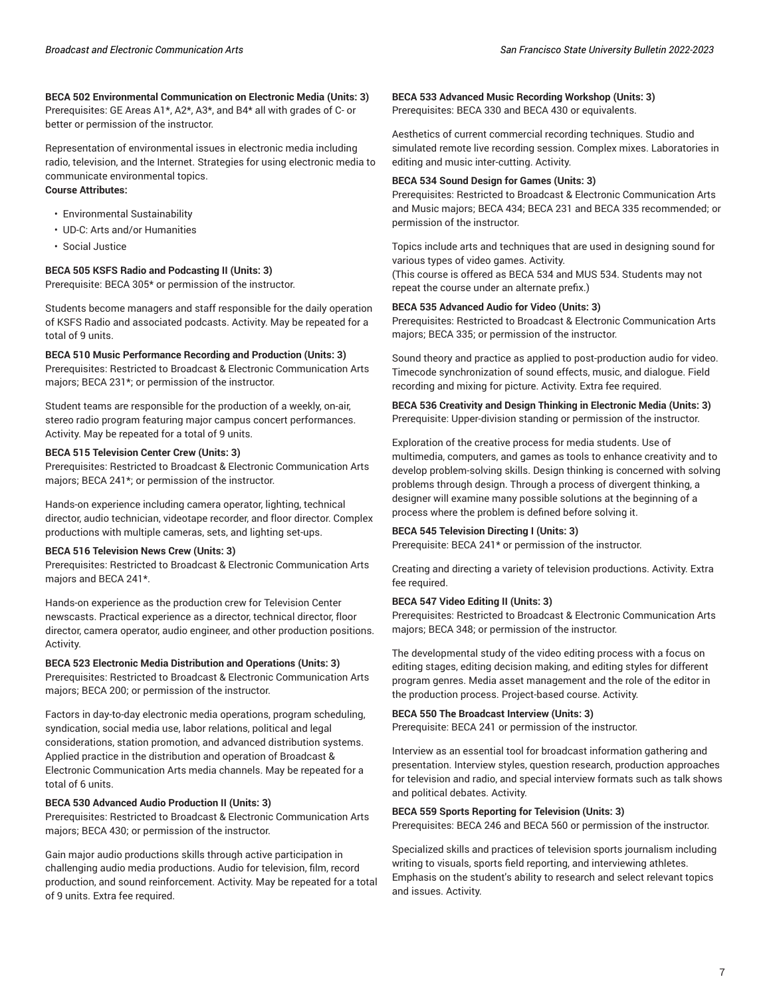#### **BECA 502 Environmental Communication on Electronic Media (Units: 3)** Prerequisites: GE Areas A1\*, A2\*, A3\*, and B4\* all with grades of C- or better or permission of the instructor.

Representation of environmental issues in electronic media including radio, television, and the Internet. Strategies for using electronic media to communicate environmental topics.

#### **Course Attributes:**

- Environmental Sustainability
- UD-C: Arts and/or Humanities
- Social Justice

#### **BECA 505 KSFS Radio and Podcasting II (Units: 3)**

Prerequisite: BECA 305\* or permission of the instructor.

Students become managers and staff responsible for the daily operation of KSFS Radio and associated podcasts. Activity. May be repeated for a total of 9 units.

#### **BECA 510 Music Performance Recording and Production (Units: 3)**

Prerequisites: Restricted to Broadcast & Electronic Communication Arts majors; BECA 231\*; or permission of the instructor.

Student teams are responsible for the production of a weekly, on-air, stereo radio program featuring major campus concert performances. Activity. May be repeated for a total of 9 units.

#### **BECA 515 Television Center Crew (Units: 3)**

Prerequisites: Restricted to Broadcast & Electronic Communication Arts majors; BECA 241\*; or permission of the instructor.

Hands-on experience including camera operator, lighting, technical director, audio technician, videotape recorder, and floor director. Complex productions with multiple cameras, sets, and lighting set-ups.

#### **BECA 516 Television News Crew (Units: 3)**

Prerequisites: Restricted to Broadcast & Electronic Communication Arts majors and BECA 241\*.

Hands-on experience as the production crew for Television Center newscasts. Practical experience as a director, technical director, floor director, camera operator, audio engineer, and other production positions. Activity.

#### **BECA 523 Electronic Media Distribution and Operations (Units: 3)**

Prerequisites: Restricted to Broadcast & Electronic Communication Arts majors; BECA 200; or permission of the instructor.

Factors in day-to-day electronic media operations, program scheduling, syndication, social media use, labor relations, political and legal considerations, station promotion, and advanced distribution systems. Applied practice in the distribution and operation of Broadcast & Electronic Communication Arts media channels. May be repeated for a total of 6 units.

#### **BECA 530 Advanced Audio Production II (Units: 3)**

Prerequisites: Restricted to Broadcast & Electronic Communication Arts majors; BECA 430; or permission of the instructor.

Gain major audio productions skills through active participation in challenging audio media productions. Audio for television, film, record production, and sound reinforcement. Activity. May be repeated for a total of 9 units. Extra fee required.

**BECA 533 Advanced Music Recording Workshop (Units: 3)** Prerequisites: BECA 330 and BECA 430 or equivalents.

Aesthetics of current commercial recording techniques. Studio and simulated remote live recording session. Complex mixes. Laboratories in editing and music inter-cutting. Activity.

#### **BECA 534 Sound Design for Games (Units: 3)**

Prerequisites: Restricted to Broadcast & Electronic Communication Arts and Music majors; BECA 434; BECA 231 and BECA 335 recommended; or permission of the instructor.

Topics include arts and techniques that are used in designing sound for various types of video games. Activity.

(This course is offered as BECA 534 and MUS 534. Students may not repeat the course under an alternate prefix.)

#### **BECA 535 Advanced Audio for Video (Units: 3)**

Prerequisites: Restricted to Broadcast & Electronic Communication Arts majors; BECA 335; or permission of the instructor.

Sound theory and practice as applied to post-production audio for video. Timecode synchronization of sound effects, music, and dialogue. Field recording and mixing for picture. Activity. Extra fee required.

#### **BECA 536 Creativity and Design Thinking in Electronic Media (Units: 3)** Prerequisite: Upper-division standing or permission of the instructor.

Exploration of the creative process for media students. Use of multimedia, computers, and games as tools to enhance creativity and to develop problem-solving skills. Design thinking is concerned with solving problems through design. Through a process of divergent thinking, a designer will examine many possible solutions at the beginning of a process where the problem is defined before solving it.

#### **BECA 545 Television Directing I (Units: 3)**

Prerequisite: BECA 241\* or permission of the instructor.

Creating and directing a variety of television productions. Activity. Extra fee required.

#### **BECA 547 Video Editing II (Units: 3)**

Prerequisites: Restricted to Broadcast & Electronic Communication Arts majors; BECA 348; or permission of the instructor.

The developmental study of the video editing process with a focus on editing stages, editing decision making, and editing styles for different program genres. Media asset management and the role of the editor in the production process. Project-based course. Activity.

#### **BECA 550 The Broadcast Interview (Units: 3)**

Prerequisite: BECA 241 or permission of the instructor.

Interview as an essential tool for broadcast information gathering and presentation. Interview styles, question research, production approaches for television and radio, and special interview formats such as talk shows and political debates. Activity.

#### **BECA 559 Sports Reporting for Television (Units: 3)**

Prerequisites: BECA 246 and BECA 560 or permission of the instructor.

Specialized skills and practices of television sports journalism including writing to visuals, sports field reporting, and interviewing athletes. Emphasis on the student's ability to research and select relevant topics and issues. Activity.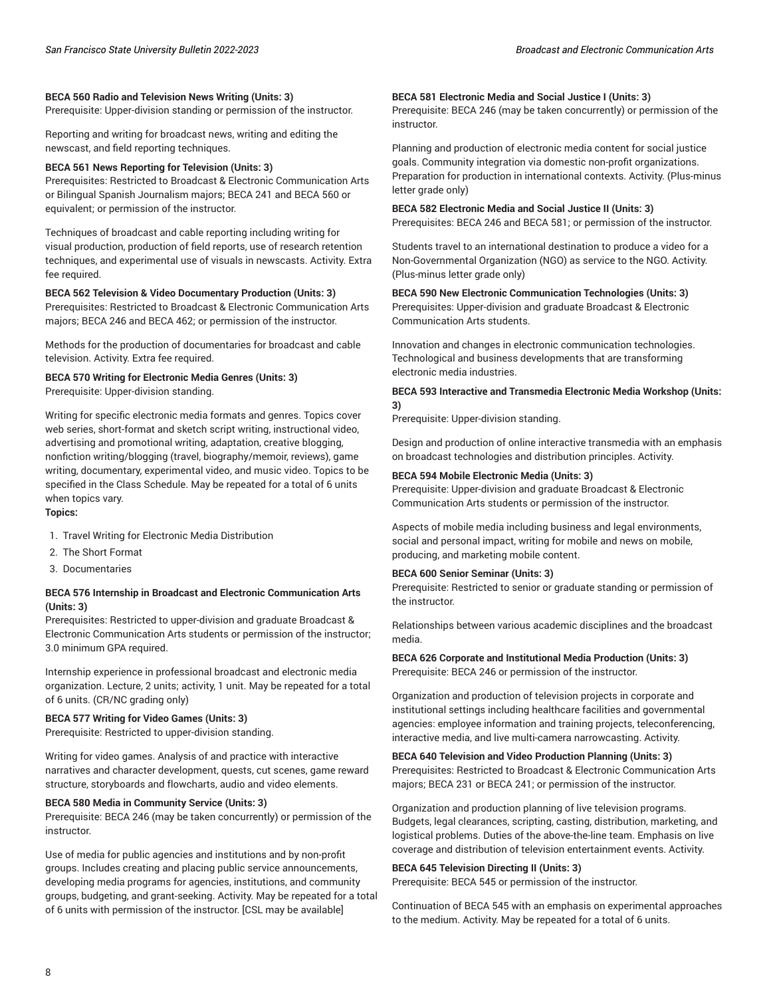Prerequisite: Upper-division standing or permission of the instructor.

Reporting and writing for broadcast news, writing and editing the newscast, and field reporting techniques.

#### **BECA 561 News Reporting for Television (Units: 3)**

Prerequisites: Restricted to Broadcast & Electronic Communication Arts or Bilingual Spanish Journalism majors; BECA 241 and BECA 560 or equivalent; or permission of the instructor.

Techniques of broadcast and cable reporting including writing for visual production, production of field reports, use of research retention techniques, and experimental use of visuals in newscasts. Activity. Extra fee required.

#### **BECA 562 Television & Video Documentary Production (Units: 3)**

Prerequisites: Restricted to Broadcast & Electronic Communication Arts majors; BECA 246 and BECA 462; or permission of the instructor.

Methods for the production of documentaries for broadcast and cable television. Activity. Extra fee required.

#### **BECA 570 Writing for Electronic Media Genres (Units: 3)** Prerequisite: Upper-division standing.

Writing for specific electronic media formats and genres. Topics cover web series, short-format and sketch script writing, instructional video, advertising and promotional writing, adaptation, creative blogging, nonfiction writing/blogging (travel, biography/memoir, reviews), game writing, documentary, experimental video, and music video. Topics to be specified in the Class Schedule. May be repeated for a total of 6 units when topics vary.

#### **Topics:**

- 1. Travel Writing for Electronic Media Distribution
- 2. The Short Format
- 3. Documentaries

#### **BECA 576 Internship in Broadcast and Electronic Communication Arts (Units: 3)**

Prerequisites: Restricted to upper-division and graduate Broadcast & Electronic Communication Arts students or permission of the instructor; 3.0 minimum GPA required.

Internship experience in professional broadcast and electronic media organization. Lecture, 2 units; activity, 1 unit. May be repeated for a total of 6 units. (CR/NC grading only)

#### **BECA 577 Writing for Video Games (Units: 3)**

Prerequisite: Restricted to upper-division standing.

Writing for video games. Analysis of and practice with interactive narratives and character development, quests, cut scenes, game reward structure, storyboards and flowcharts, audio and video elements.

#### **BECA 580 Media in Community Service (Units: 3)**

Prerequisite: BECA 246 (may be taken concurrently) or permission of the instructor.

Use of media for public agencies and institutions and by non-profit groups. Includes creating and placing public service announcements, developing media programs for agencies, institutions, and community groups, budgeting, and grant-seeking. Activity. May be repeated for a total of 6 units with permission of the instructor. [CSL may be available]

#### **BECA 581 Electronic Media and Social Justice I (Units: 3)**

Prerequisite: BECA 246 (may be taken concurrently) or permission of the instructor.

Planning and production of electronic media content for social justice goals. Community integration via domestic non-profit organizations. Preparation for production in international contexts. Activity. (Plus-minus letter grade only)

**BECA 582 Electronic Media and Social Justice II (Units: 3)** Prerequisites: BECA 246 and BECA 581; or permission of the instructor.

Students travel to an international destination to produce a video for a Non-Governmental Organization (NGO) as service to the NGO. Activity. (Plus-minus letter grade only)

**BECA 590 New Electronic Communication Technologies (Units: 3)** Prerequisites: Upper-division and graduate Broadcast & Electronic Communication Arts students.

Innovation and changes in electronic communication technologies. Technological and business developments that are transforming electronic media industries.

**BECA 593 Interactive and Transmedia Electronic Media Workshop (Units: 3)**

Prerequisite: Upper-division standing.

Design and production of online interactive transmedia with an emphasis on broadcast technologies and distribution principles. Activity.

#### **BECA 594 Mobile Electronic Media (Units: 3)**

Prerequisite: Upper-division and graduate Broadcast & Electronic Communication Arts students or permission of the instructor.

Aspects of mobile media including business and legal environments, social and personal impact, writing for mobile and news on mobile, producing, and marketing mobile content.

#### **BECA 600 Senior Seminar (Units: 3)**

Prerequisite: Restricted to senior or graduate standing or permission of the instructor.

Relationships between various academic disciplines and the broadcast media.

**BECA 626 Corporate and Institutional Media Production (Units: 3)** Prerequisite: BECA 246 or permission of the instructor.

Organization and production of television projects in corporate and institutional settings including healthcare facilities and governmental agencies: employee information and training projects, teleconferencing, interactive media, and live multi-camera narrowcasting. Activity.

#### **BECA 640 Television and Video Production Planning (Units: 3)**

Prerequisites: Restricted to Broadcast & Electronic Communication Arts majors; BECA 231 or BECA 241; or permission of the instructor.

Organization and production planning of live television programs. Budgets, legal clearances, scripting, casting, distribution, marketing, and logistical problems. Duties of the above-the-line team. Emphasis on live coverage and distribution of television entertainment events. Activity.

#### **BECA 645 Television Directing II (Units: 3)**

Prerequisite: BECA 545 or permission of the instructor.

Continuation of BECA 545 with an emphasis on experimental approaches to the medium. Activity. May be repeated for a total of 6 units.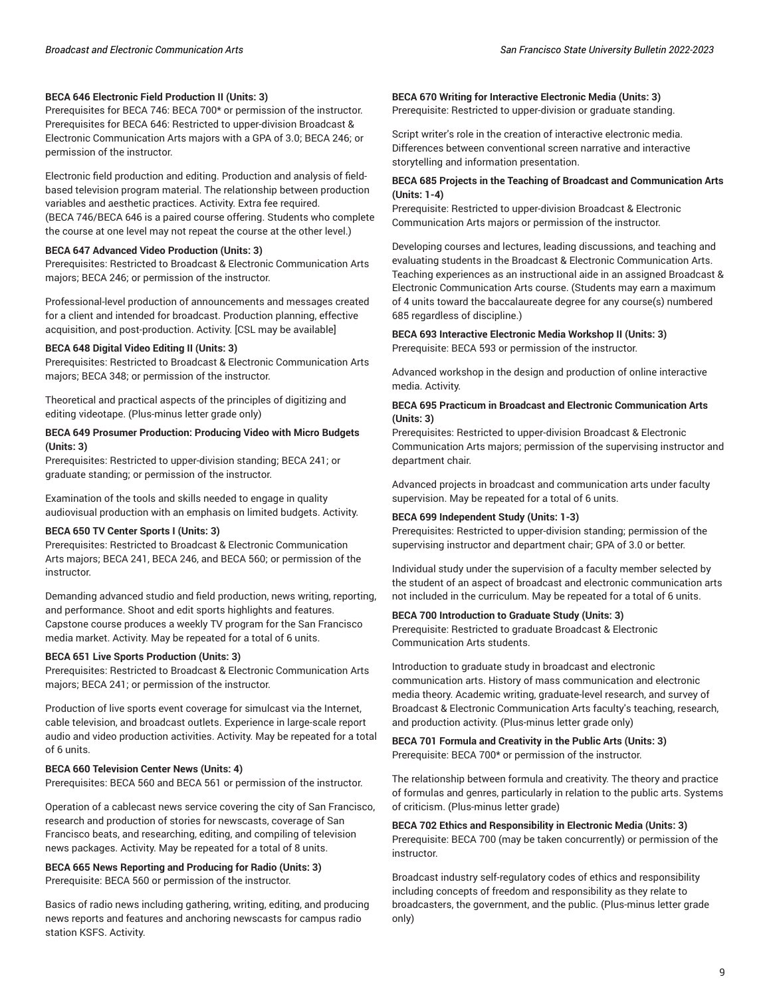#### **BECA 646 Electronic Field Production II (Units: 3)**

Prerequisites for BECA 746: BECA 700\* or permission of the instructor. Prerequisites for BECA 646: Restricted to upper-division Broadcast & Electronic Communication Arts majors with a GPA of 3.0; BECA 246; or permission of the instructor.

Electronic field production and editing. Production and analysis of fieldbased television program material. The relationship between production variables and aesthetic practices. Activity. Extra fee required. (BECA 746/BECA 646 is a paired course offering. Students who complete the course at one level may not repeat the course at the other level.)

#### **BECA 647 Advanced Video Production (Units: 3)**

Prerequisites: Restricted to Broadcast & Electronic Communication Arts majors; BECA 246; or permission of the instructor.

Professional-level production of announcements and messages created for a client and intended for broadcast. Production planning, effective acquisition, and post-production. Activity. [CSL may be available]

#### **BECA 648 Digital Video Editing II (Units: 3)**

Prerequisites: Restricted to Broadcast & Electronic Communication Arts majors; BECA 348; or permission of the instructor.

Theoretical and practical aspects of the principles of digitizing and editing videotape. (Plus-minus letter grade only)

#### **BECA 649 Prosumer Production: Producing Video with Micro Budgets (Units: 3)**

Prerequisites: Restricted to upper-division standing; BECA 241; or graduate standing; or permission of the instructor.

Examination of the tools and skills needed to engage in quality audiovisual production with an emphasis on limited budgets. Activity.

#### **BECA 650 TV Center Sports I (Units: 3)**

Prerequisites: Restricted to Broadcast & Electronic Communication Arts majors; BECA 241, BECA 246, and BECA 560; or permission of the instructor.

Demanding advanced studio and field production, news writing, reporting, and performance. Shoot and edit sports highlights and features. Capstone course produces a weekly TV program for the San Francisco media market. Activity. May be repeated for a total of 6 units.

#### **BECA 651 Live Sports Production (Units: 3)**

Prerequisites: Restricted to Broadcast & Electronic Communication Arts majors; BECA 241; or permission of the instructor.

Production of live sports event coverage for simulcast via the Internet, cable television, and broadcast outlets. Experience in large-scale report audio and video production activities. Activity. May be repeated for a total of 6 units.

#### **BECA 660 Television Center News (Units: 4)**

Prerequisites: BECA 560 and BECA 561 or permission of the instructor.

Operation of a cablecast news service covering the city of San Francisco, research and production of stories for newscasts, coverage of San Francisco beats, and researching, editing, and compiling of television news packages. Activity. May be repeated for a total of 8 units.

#### **BECA 665 News Reporting and Producing for Radio (Units: 3)** Prerequisite: BECA 560 or permission of the instructor.

Basics of radio news including gathering, writing, editing, and producing news reports and features and anchoring newscasts for campus radio station KSFS. Activity.

#### **BECA 670 Writing for Interactive Electronic Media (Units: 3)**

Prerequisite: Restricted to upper-division or graduate standing.

Script writer's role in the creation of interactive electronic media. Differences between conventional screen narrative and interactive storytelling and information presentation.

#### **BECA 685 Projects in the Teaching of Broadcast and Communication Arts (Units: 1-4)**

Prerequisite: Restricted to upper-division Broadcast & Electronic Communication Arts majors or permission of the instructor.

Developing courses and lectures, leading discussions, and teaching and evaluating students in the Broadcast & Electronic Communication Arts. Teaching experiences as an instructional aide in an assigned Broadcast & Electronic Communication Arts course. (Students may earn a maximum of 4 units toward the baccalaureate degree for any course(s) numbered 685 regardless of discipline.)

#### **BECA 693 Interactive Electronic Media Workshop II (Units: 3)**

Prerequisite: BECA 593 or permission of the instructor.

Advanced workshop in the design and production of online interactive media. Activity.

#### **BECA 695 Practicum in Broadcast and Electronic Communication Arts (Units: 3)**

Prerequisites: Restricted to upper-division Broadcast & Electronic Communication Arts majors; permission of the supervising instructor and department chair.

Advanced projects in broadcast and communication arts under faculty supervision. May be repeated for a total of 6 units.

#### **BECA 699 Independent Study (Units: 1-3)**

Prerequisites: Restricted to upper-division standing; permission of the supervising instructor and department chair; GPA of 3.0 or better.

Individual study under the supervision of a faculty member selected by the student of an aspect of broadcast and electronic communication arts not included in the curriculum. May be repeated for a total of 6 units.

#### **BECA 700 Introduction to Graduate Study (Units: 3)**

Prerequisite: Restricted to graduate Broadcast & Electronic Communication Arts students.

Introduction to graduate study in broadcast and electronic communication arts. History of mass communication and electronic media theory. Academic writing, graduate-level research, and survey of Broadcast & Electronic Communication Arts faculty's teaching, research, and production activity. (Plus-minus letter grade only)

#### **BECA 701 Formula and Creativity in the Public Arts (Units: 3)** Prerequisite: BECA 700\* or permission of the instructor.

The relationship between formula and creativity. The theory and practice of formulas and genres, particularly in relation to the public arts. Systems of criticism. (Plus-minus letter grade)

**BECA 702 Ethics and Responsibility in Electronic Media (Units: 3)** Prerequisite: BECA 700 (may be taken concurrently) or permission of the instructor.

Broadcast industry self-regulatory codes of ethics and responsibility including concepts of freedom and responsibility as they relate to broadcasters, the government, and the public. (Plus-minus letter grade only)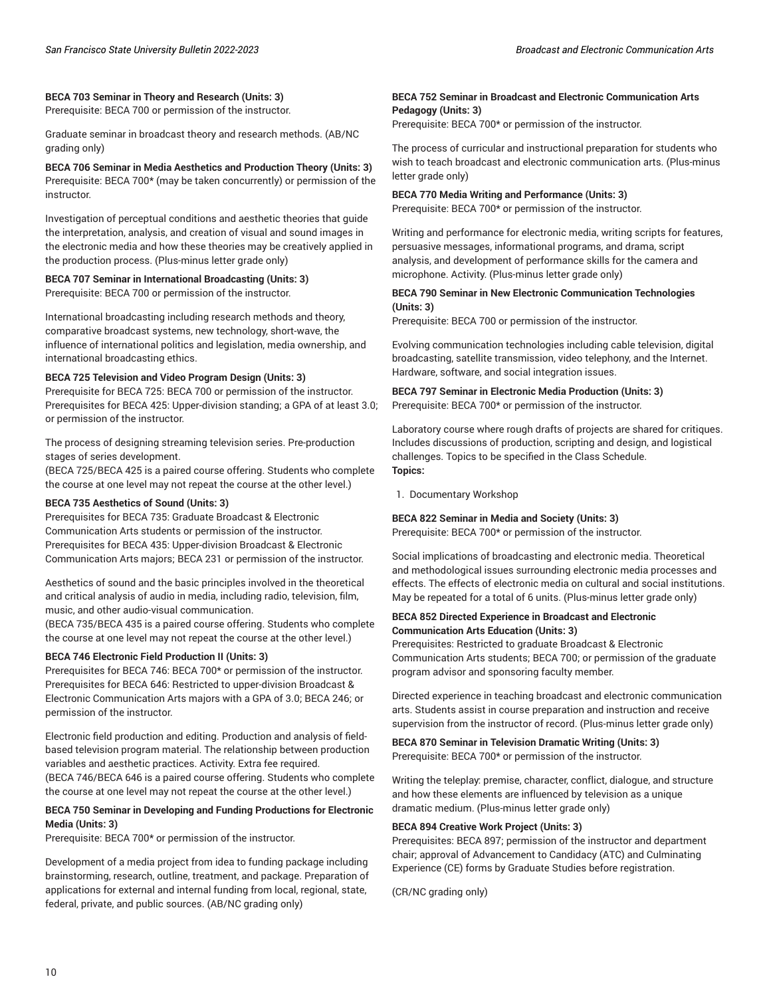#### **BECA 703 Seminar in Theory and Research (Units: 3)**

Prerequisite: BECA 700 or permission of the instructor.

Graduate seminar in broadcast theory and research methods. (AB/NC grading only)

**BECA 706 Seminar in Media Aesthetics and Production Theory (Units: 3)** Prerequisite: BECA 700\* (may be taken concurrently) or permission of the instructor.

Investigation of perceptual conditions and aesthetic theories that guide the interpretation, analysis, and creation of visual and sound images in the electronic media and how these theories may be creatively applied in the production process. (Plus-minus letter grade only)

#### **BECA 707 Seminar in International Broadcasting (Units: 3)**

Prerequisite: BECA 700 or permission of the instructor.

International broadcasting including research methods and theory, comparative broadcast systems, new technology, short-wave, the influence of international politics and legislation, media ownership, and international broadcasting ethics.

#### **BECA 725 Television and Video Program Design (Units: 3)**

Prerequisite for BECA 725: BECA 700 or permission of the instructor. Prerequisites for BECA 425: Upper-division standing; a GPA of at least 3.0; or permission of the instructor.

The process of designing streaming television series. Pre-production stages of series development.

(BECA 725/BECA 425 is a paired course offering. Students who complete the course at one level may not repeat the course at the other level.)

#### **BECA 735 Aesthetics of Sound (Units: 3)**

Prerequisites for BECA 735: Graduate Broadcast & Electronic Communication Arts students or permission of the instructor. Prerequisites for BECA 435: Upper-division Broadcast & Electronic Communication Arts majors; BECA 231 or permission of the instructor.

Aesthetics of sound and the basic principles involved in the theoretical and critical analysis of audio in media, including radio, television, film, music, and other audio-visual communication.

(BECA 735/BECA 435 is a paired course offering. Students who complete the course at one level may not repeat the course at the other level.)

#### **BECA 746 Electronic Field Production II (Units: 3)**

Prerequisites for BECA 746: BECA 700\* or permission of the instructor. Prerequisites for BECA 646: Restricted to upper-division Broadcast & Electronic Communication Arts majors with a GPA of 3.0; BECA 246; or permission of the instructor.

Electronic field production and editing. Production and analysis of fieldbased television program material. The relationship between production variables and aesthetic practices. Activity. Extra fee required. (BECA 746/BECA 646 is a paired course offering. Students who complete the course at one level may not repeat the course at the other level.)

#### **BECA 750 Seminar in Developing and Funding Productions for Electronic Media (Units: 3)**

Prerequisite: BECA 700\* or permission of the instructor.

Development of a media project from idea to funding package including brainstorming, research, outline, treatment, and package. Preparation of applications for external and internal funding from local, regional, state, federal, private, and public sources. (AB/NC grading only)

#### **BECA 752 Seminar in Broadcast and Electronic Communication Arts Pedagogy (Units: 3)**

Prerequisite: BECA 700\* or permission of the instructor.

The process of curricular and instructional preparation for students who wish to teach broadcast and electronic communication arts. (Plus-minus letter grade only)

#### **BECA 770 Media Writing and Performance (Units: 3)**

Prerequisite: BECA 700\* or permission of the instructor.

Writing and performance for electronic media, writing scripts for features, persuasive messages, informational programs, and drama, script analysis, and development of performance skills for the camera and microphone. Activity. (Plus-minus letter grade only)

#### **BECA 790 Seminar in New Electronic Communication Technologies (Units: 3)**

Prerequisite: BECA 700 or permission of the instructor.

Evolving communication technologies including cable television, digital broadcasting, satellite transmission, video telephony, and the Internet. Hardware, software, and social integration issues.

#### **BECA 797 Seminar in Electronic Media Production (Units: 3)** Prerequisite: BECA 700\* or permission of the instructor.

Laboratory course where rough drafts of projects are shared for critiques. Includes discussions of production, scripting and design, and logistical challenges. Topics to be specified in the Class Schedule. **Topics:**

1. Documentary Workshop

#### **BECA 822 Seminar in Media and Society (Units: 3)**

Prerequisite: BECA 700\* or permission of the instructor.

Social implications of broadcasting and electronic media. Theoretical and methodological issues surrounding electronic media processes and effects. The effects of electronic media on cultural and social institutions. May be repeated for a total of 6 units. (Plus-minus letter grade only)

#### **BECA 852 Directed Experience in Broadcast and Electronic Communication Arts Education (Units: 3)**

Prerequisites: Restricted to graduate Broadcast & Electronic Communication Arts students; BECA 700; or permission of the graduate program advisor and sponsoring faculty member.

Directed experience in teaching broadcast and electronic communication arts. Students assist in course preparation and instruction and receive supervision from the instructor of record. (Plus-minus letter grade only)

**BECA 870 Seminar in Television Dramatic Writing (Units: 3)** Prerequisite: BECA 700\* or permission of the instructor.

Writing the teleplay: premise, character, conflict, dialogue, and structure and how these elements are influenced by television as a unique dramatic medium. (Plus-minus letter grade only)

#### **BECA 894 Creative Work Project (Units: 3)**

Prerequisites: BECA 897; permission of the instructor and department chair; approval of Advancement to Candidacy (ATC) and Culminating Experience (CE) forms by Graduate Studies before registration.

(CR/NC grading only)